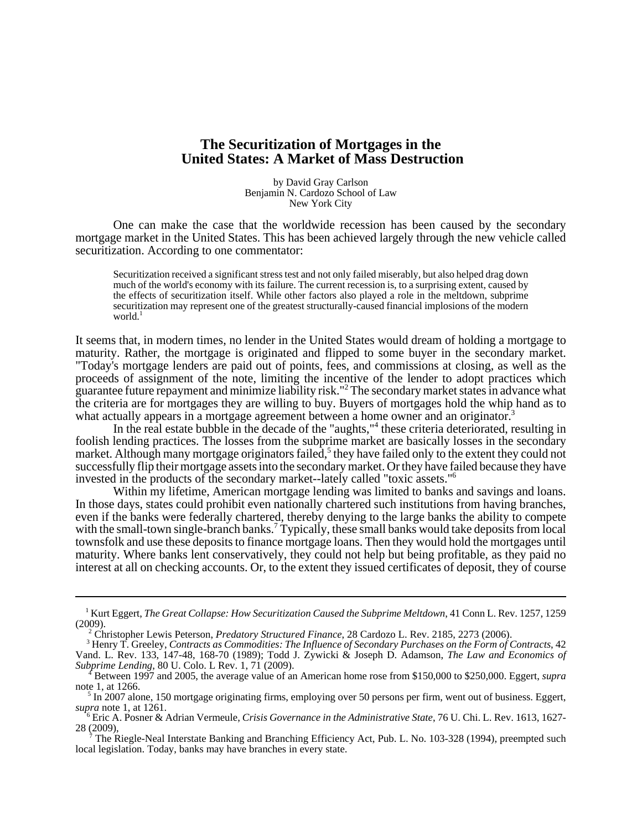## **The Securitization of Mortgages in the United States: A Market of Mass Destruction**

by David Gray Carlson Benjamin N. Cardozo School of Law New York City

One can make the case that the worldwide recession has been caused by the secondary mortgage market in the United States. This has been achieved largely through the new vehicle called securitization. According to one commentator:

Securitization received a significant stress test and not only failed miserably, but also helped drag down much of the world's economy with its failure. The current recession is, to a surprising extent, caused by the effects of securitization itself. While other factors also played a role in the meltdown, subprime securitization may represent one of the greatest structurally-caused financial implosions of the modern world. $<sup>1</sup>$ </sup>

It seems that, in modern times, no lender in the United States would dream of holding a mortgage to maturity. Rather, the mortgage is originated and flipped to some buyer in the secondary market. "Today's mortgage lenders are paid out of points, fees, and commissions at closing, as well as the proceeds of assignment of the note, limiting the incentive of the lender to adopt practices which guarantee future repayment and minimize liability risk."2 The secondary market states in advance what the criteria are for mortgages they are willing to buy. Buyers of mortgages hold the whip hand as to what actually appears in a mortgage agreement between a home owner and an originator.<sup>3</sup>

In the real estate bubble in the decade of the "aughts,"<sup>4</sup> these criteria deteriorated, resulting in foolish lending practices. The losses from the subprime market are basically losses in the secondary market. Although many mortgage originators failed,<sup>5</sup> they have failed only to the extent they could not successfully flip their mortgage assets into the secondary market. Or they have failed because they have invested in the products of the secondary market--lately called "toxic assets."6

Within my lifetime, American mortgage lending was limited to banks and savings and loans. In those days, states could prohibit even nationally chartered such institutions from having branches, even if the banks were federally chartered, thereby denying to the large banks the ability to compete with the small-town single-branch banks.<sup>7</sup> Typically, these small banks would take deposits from local townsfolk and use these deposits to finance mortgage loans. Then they would hold the mortgages until maturity. Where banks lent conservatively, they could not help but being profitable, as they paid no interest at all on checking accounts. Or, to the extent they issued certificates of deposit, they of course

<sup>&</sup>lt;sup>1</sup> Kurt Eggert, *The Great Collapse: How Securitization Caused the Subprime Meltdown*, 41 Conn L. Rev. 1257, 1259 (2009).

<sup>&</sup>lt;sup>2</sup> Christopher Lewis Peterson, *Predatory Structured Finance*, 28 Cardozo L. Rev. 2185, 2273 (2006).

 <sup>3</sup> Henry T. Greeley, *Contracts as Commodities: The Influence of Secondary Purchases on the Form of Contracts*, 42 Vand. L. Rev. 133, 147-48, 168-70 (1989); Todd J. Zywicki & Joseph D. Adamson, *The Law and Economics of Subprime Lending*, 80 U. Colo. L Rev. 1, 71 (2009).

 <sup>4</sup> Between 1997 and 2005, the average value of an American home rose from \$150,000 to \$250,000. Eggert, *supra* note 1, at 1266.

<sup>&</sup>lt;sup>5</sup> In 2007 alone, 150 mortgage originating firms, employing over 50 persons per firm, went out of business. Eggert, *supra* note 1, at 1261.

 $\ddot{\phantom{0}}$  Eric A. Posner & Adrian Vermeule, *Crisis Governance in the Administrative State*, 76 U. Chi. L. Rev. 1613, 1627- 28 (2009),

 $\overrightarrow{7}$ The Riegle-Neal Interstate Banking and Branching Efficiency Act, Pub. L. No. 103-328 (1994), preempted such local legislation. Today, banks may have branches in every state.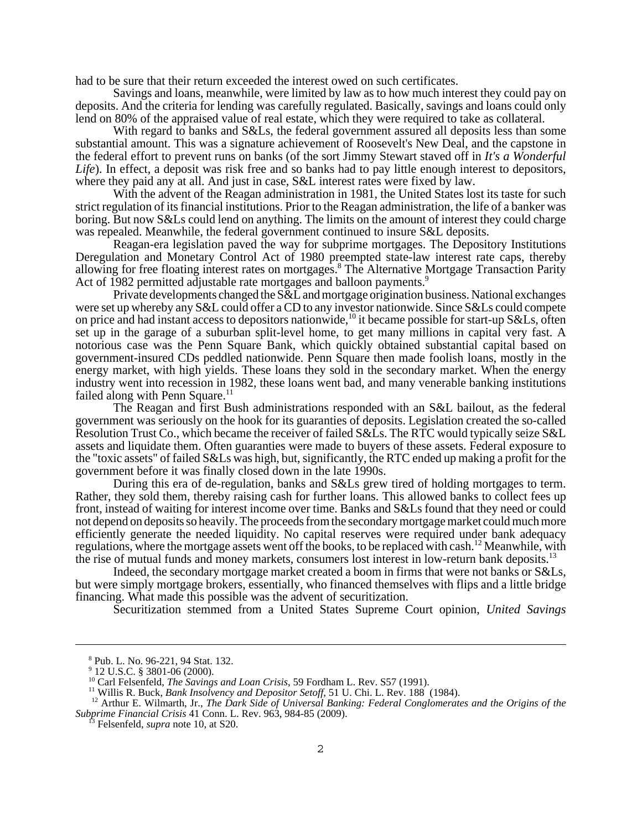had to be sure that their return exceeded the interest owed on such certificates.

Savings and loans, meanwhile, were limited by law as to how much interest they could pay on deposits. And the criteria for lending was carefully regulated. Basically, savings and loans could only lend on 80% of the appraised value of real estate, which they were required to take as collateral.

With regard to banks and S&Ls, the federal government assured all deposits less than some substantial amount. This was a signature achievement of Roosevelt's New Deal, and the capstone in the federal effort to prevent runs on banks (of the sort Jimmy Stewart staved off in *It's a Wonderful Life*). In effect, a deposit was risk free and so banks had to pay little enough interest to depositors, where they paid any at all. And just in case, S&L interest rates were fixed by law.

With the advent of the Reagan administration in 1981, the United States lost its taste for such strict regulation of its financial institutions. Prior to the Reagan administration, the life of a banker was boring. But now S&Ls could lend on anything. The limits on the amount of interest they could charge was repealed. Meanwhile, the federal government continued to insure S&L deposits.

Reagan-era legislation paved the way for subprime mortgages. The Depository Institutions Deregulation and Monetary Control Act of 1980 preempted state-law interest rate caps, thereby allowing for free floating interest rates on mortgages.<sup>8</sup> The Alternative Mortgage Transaction Parity Act of 1982 permitted adjustable rate mortgages and balloon payments.<sup>9</sup>

Private developments changed the  $S\&L$  and mortgage origination business. National exchanges were set up whereby any S&L could offer a CD to any investor nationwide. Since S&Ls could compete on price and had instant access to depositors nationwide,<sup>10</sup> it became possible for start-up S&Ls, often set up in the garage of a suburban split-level home, to get many millions in capital very fast. A notorious case was the Penn Square Bank, which quickly obtained substantial capital based on government-insured CDs peddled nationwide. Penn Square then made foolish loans, mostly in the energy market, with high yields. These loans they sold in the secondary market. When the energy industry went into recession in 1982, these loans went bad, and many venerable banking institutions failed along with Penn Square.<sup>11</sup>

The Reagan and first Bush administrations responded with an S&L bailout, as the federal government was seriously on the hook for its guaranties of deposits. Legislation created the so-called Resolution Trust Co., which became the receiver of failed S&Ls. The RTC would typically seize S&L assets and liquidate them. Often guaranties were made to buyers of these assets. Federal exposure to the "toxic assets" of failed S&Ls was high, but, significantly, the RTC ended up making a profit for the government before it was finally closed down in the late 1990s.

During this era of de-regulation, banks and S&Ls grew tired of holding mortgages to term. Rather, they sold them, thereby raising cash for further loans. This allowed banks to collect fees up front, instead of waiting for interest income over time. Banks and S&Ls found that they need or could not depend on deposits so heavily. The proceeds from the secondary mortgage market could much more efficiently generate the needed liquidity. No capital reserves were required under bank adequacy regulations, where the mortgage assets went off the books, to be replaced with cash.12 Meanwhile, with the rise of mutual funds and money markets, consumers lost interest in low-return bank deposits.<sup>13</sup>

Indeed, the secondary mortgage market created a boom in firms that were not banks or S&Ls, but were simply mortgage brokers, essentially, who financed themselves with flips and a little bridge financing. What made this possible was the advent of securitization.

Securitization stemmed from a United States Supreme Court opinion, *United Savings*

 <sup>8</sup> Pub. L. No. 96-221, 94 Stat. 132.

<sup>&</sup>lt;sup>9</sup> 12 U.S.C. § 3801-06 (2000).

<sup>&</sup>lt;sup>10</sup> Carl Felsenfeld, *The Savings and Loan Crisis*, 59 Fordham L. Rev. S57 (1991).

 <sup>11</sup> Willis R. Buck, *Bank Insolvency and Depositor Setoff*, 51 U. Chi. L. Rev. 188 (1984).

<sup>&</sup>lt;sup>12</sup> Arthur E. Wilmarth, Jr., *The Dark Side of Universal Banking: Federal Conglomerates and the Origins of the Subprime Financial Crisis* 41 Conn. L. Rev. 963, 984-85 (2009). 13 Felsenfeld, *supra* note 10, at S20.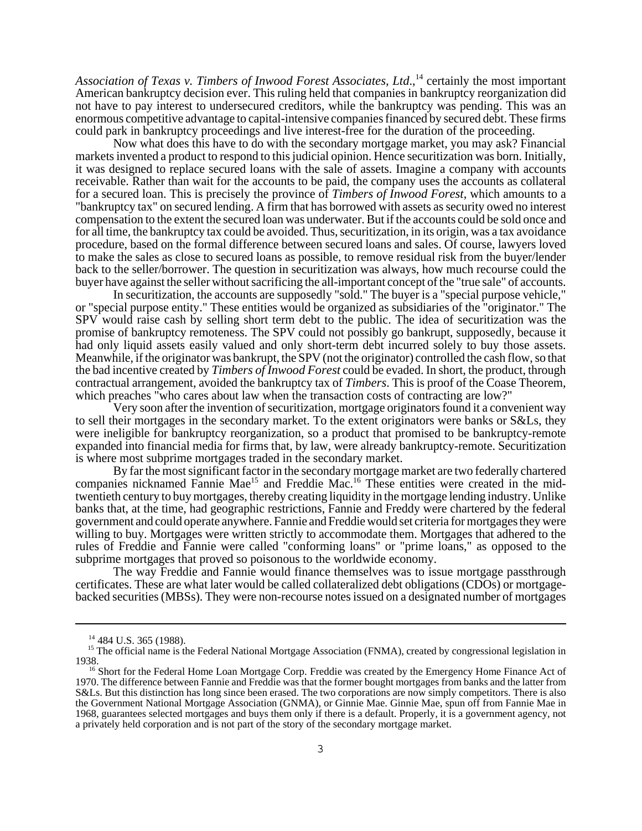*Association of Texas v. Timbers of Inwood Forest Associates, Ltd.*,<sup>14</sup> certainly the most important American bankruptcy decision ever. This ruling held that companies in bankruptcy reorganization did not have to pay interest to undersecured creditors, while the bankruptcy was pending. This was an enormous competitive advantage to capital-intensive companies financed by secured debt. These firms could park in bankruptcy proceedings and live interest-free for the duration of the proceeding.

Now what does this have to do with the secondary mortgage market, you may ask? Financial markets invented a product to respond to this judicial opinion. Hence securitization was born. Initially, it was designed to replace secured loans with the sale of assets. Imagine a company with accounts receivable. Rather than wait for the accounts to be paid, the company uses the accounts as collateral for a secured loan. This is precisely the province of *Timbers of Inwood Forest*, which amounts to a "bankruptcy tax" on secured lending. A firm that has borrowed with assets as security owed no interest compensation to the extent the secured loan was underwater. But if the accounts could be sold once and for all time, the bankruptcy tax could be avoided. Thus, securitization, in its origin, was a tax avoidance procedure, based on the formal difference between secured loans and sales. Of course, lawyers loved to make the sales as close to secured loans as possible, to remove residual risk from the buyer/lender back to the seller/borrower. The question in securitization was always, how much recourse could the buyer have against the seller without sacrificing the all-important concept of the "true sale" of accounts.

In securitization, the accounts are supposedly "sold." The buyer is a "special purpose vehicle," or "special purpose entity." These entities would be organized as subsidiaries of the "originator." The SPV would raise cash by selling short term debt to the public. The idea of securitization was the promise of bankruptcy remoteness. The SPV could not possibly go bankrupt, supposedly, because it had only liquid assets easily valued and only short-term debt incurred solely to buy those assets. Meanwhile, if the originator was bankrupt, the SPV (not the originator) controlled the cash flow, so that the bad incentive created by *Timbers of Inwood Forest* could be evaded. In short, the product, through contractual arrangement, avoided the bankruptcy tax of *Timbers*. This is proof of the Coase Theorem, which preaches "who cares about law when the transaction costs of contracting are low?"

Very soon after the invention of securitization, mortgage originators found it a convenient way to sell their mortgages in the secondary market. To the extent originators were banks or S&Ls, they were ineligible for bankruptcy reorganization, so a product that promised to be bankruptcy-remote expanded into financial media for firms that, by law, were already bankruptcy-remote. Securitization is where most subprime mortgages traded in the secondary market.

By far the most significant factor in the secondary mortgage market are two federally chartered companies nicknamed Fannie Mae<sup>15</sup> and Freddie Mac.<sup>16</sup> These entities were created in the midtwentieth century to buy mortgages, thereby creating liquidity in the mortgage lending industry. Unlike banks that, at the time, had geographic restrictions, Fannie and Freddy were chartered by the federal government and could operate anywhere. Fannie and Freddie would set criteria for mortgages they were willing to buy. Mortgages were written strictly to accommodate them. Mortgages that adhered to the rules of Freddie and Fannie were called "conforming loans" or "prime loans," as opposed to the subprime mortgages that proved so poisonous to the worldwide economy.

The way Freddie and Fannie would finance themselves was to issue mortgage passthrough certificates. These are what later would be called collateralized debt obligations (CDOs) or mortgagebacked securities (MBSs). They were non-recourse notes issued on a designated number of mortgages

<sup>&</sup>lt;sup>14</sup> 484 U.S. 365 (1988).

<sup>&</sup>lt;sup>15</sup> The official name is the Federal National Mortgage Association (FNMA), created by congressional legislation in 1938.

<sup>&</sup>lt;sup>16</sup> Short for the Federal Home Loan Mortgage Corp. Freddie was created by the Emergency Home Finance Act of 1970. The difference between Fannie and Freddie was that the former bought mortgages from banks and the latter from S&Ls. But this distinction has long since been erased. The two corporations are now simply competitors. There is also the Government National Mortgage Association (GNMA), or Ginnie Mae. Ginnie Mae, spun off from Fannie Mae in 1968, guarantees selected mortgages and buys them only if there is a default. Properly, it is a government agency, not a privately held corporation and is not part of the story of the secondary mortgage market.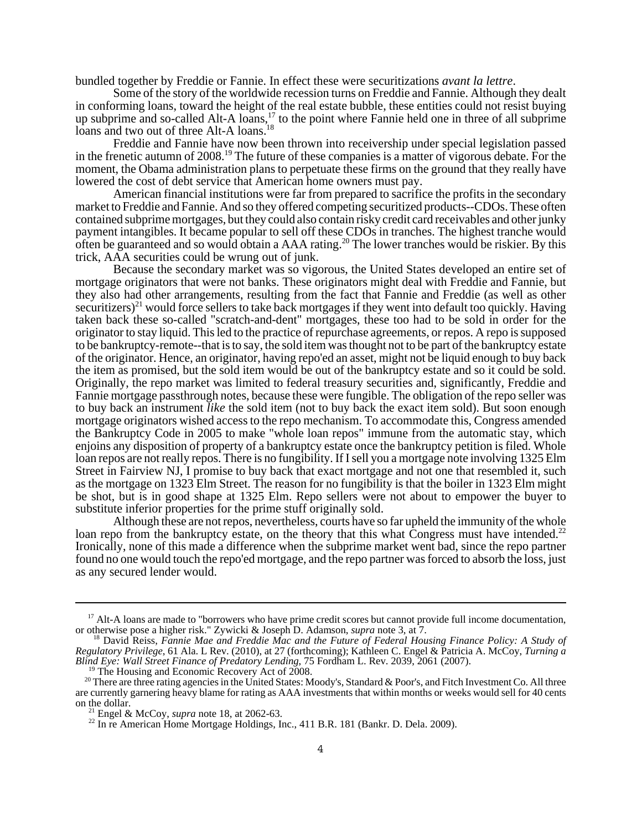bundled together by Freddie or Fannie. In effect these were securitizations *avant la lettre*.

Some of the story of the worldwide recession turns on Freddie and Fannie. Although they dealt in conforming loans, toward the height of the real estate bubble, these entities could not resist buying up subprime and so-called Alt-A loans,<sup>17</sup> to the point where Fannie held one in three of all subprime loans and two out of three Alt-A loans.<sup>18</sup>

Freddie and Fannie have now been thrown into receivership under special legislation passed in the frenetic autumn of 2008.<sup>19</sup> The future of these companies is a matter of vigorous debate. For the moment, the Obama administration plans to perpetuate these firms on the ground that they really have lowered the cost of debt service that American home owners must pay.

American financial institutions were far from prepared to sacrifice the profits in the secondary market to Freddie and Fannie. And so they offered competing securitized products--CDOs. These often contained subprime mortgages, but they could also contain risky credit card receivables and other junky payment intangibles. It became popular to sell off these CDOs in tranches. The highest tranche would often be guaranteed and so would obtain a AAA rating.20 The lower tranches would be riskier. By this trick, AAA securities could be wrung out of junk.

Because the secondary market was so vigorous, the United States developed an entire set of mortgage originators that were not banks. These originators might deal with Freddie and Fannie, but they also had other arrangements, resulting from the fact that Fannie and Freddie (as well as other securitizers)<sup>21</sup> would force sellers to take back mortgages if they went into default too quickly. Having taken back these so-called "scratch-and-dent" mortgages, these too had to be sold in order for the originator to stay liquid. This led to the practice of repurchase agreements, or repos. A repo is supposed to be bankruptcy-remote--that is to say, the sold item was thought not to be part of the bankruptcy estate of the originator. Hence, an originator, having repo'ed an asset, might not be liquid enough to buy back the item as promised, but the sold item would be out of the bankruptcy estate and so it could be sold. Originally, the repo market was limited to federal treasury securities and, significantly, Freddie and Fannie mortgage passthrough notes, because these were fungible. The obligation of the repo seller was to buy back an instrument *like* the sold item (not to buy back the exact item sold). But soon enough mortgage originators wished access to the repo mechanism. To accommodate this, Congress amended the Bankruptcy Code in 2005 to make "whole loan repos" immune from the automatic stay, which enjoins any disposition of property of a bankruptcy estate once the bankruptcy petition is filed. Whole loan repos are not really repos. There is no fungibility. If I sell you a mortgage note involving 1325 Elm Street in Fairview NJ, I promise to buy back that exact mortgage and not one that resembled it, such as the mortgage on 1323 Elm Street. The reason for no fungibility is that the boiler in 1323 Elm might be shot, but is in good shape at 1325 Elm. Repo sellers were not about to empower the buyer to substitute inferior properties for the prime stuff originally sold.

Although these are not repos, nevertheless, courts have so far upheld the immunity of the whole loan repo from the bankruptcy estate, on the theory that this what Congress must have intended.<sup>22</sup> Ironically, none of this made a difference when the subprime market went bad, since the repo partner found no one would touch the repo'ed mortgage, and the repo partner was forced to absorb the loss, just as any secured lender would.

<sup>&</sup>lt;sup>17</sup> Alt-A loans are made to "borrowers who have prime credit scores but cannot provide full income documentation, or otherwise pose a higher risk." Zywicki & Joseph D. Adamson, *supra* note 3, at 7.

<sup>&</sup>lt;sup>18</sup> David Reiss, Fannie Mae and Freddie Mac and the Future of Federal Housing Finance Policy: A Study of *Regulatory Privilege*, 61 Ala. L Rev. (2010), at 27 (forthcoming); Kathleen C. Engel & Patricia A. McCoy, *Turning a Blind Eye: Wall Street Finance of Predatory Lending*, 75 Fordham L. Rev. 2039, 2061 (2007).

<sup>&</sup>lt;sup>19</sup> The Housing and Economic Recovery Act of 2008.

<sup>&</sup>lt;sup>20</sup> There are three rating agencies in the United States: Moody's, Standard & Poor's, and Fitch Investment Co. All three are currently garnering heavy blame for rating as AAA investments that within months or weeks would sell for 40 cents on the dollar.

 <sup>21</sup> Engel & McCoy, *supra* note 18, at 2062-63.

 $22$  In re American Home Mortgage Holdings, Inc., 411 B.R. 181 (Bankr. D. Dela. 2009).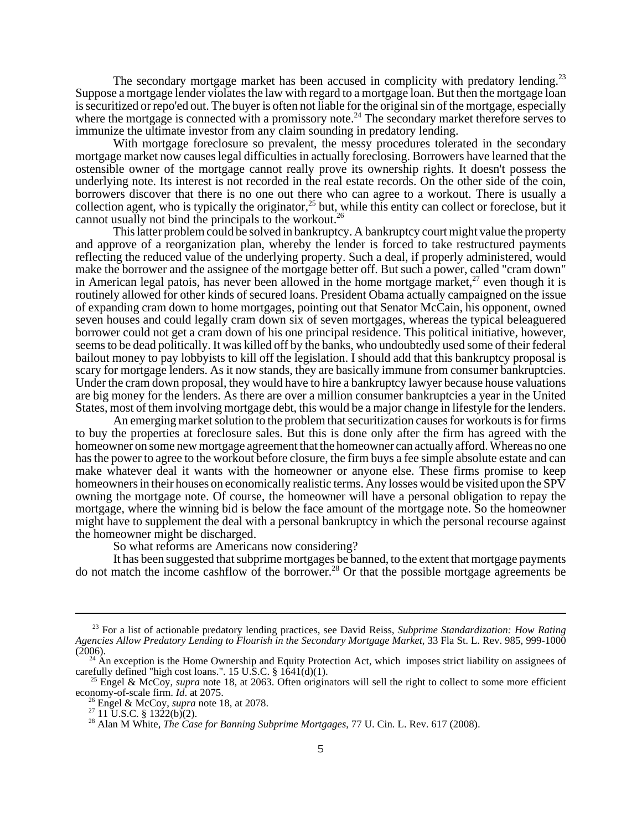The secondary mortgage market has been accused in complicity with predatory lending.<sup>23</sup> Suppose a mortgage lender violates the law with regard to a mortgage loan. But then the mortgage loan is securitized or repo'ed out. The buyer is often not liable for the original sin of the mortgage, especially where the mortgage is connected with a promissory note.<sup>24</sup> The secondary market therefore serves to immunize the ultimate investor from any claim sounding in predatory lending.

With mortgage foreclosure so prevalent, the messy procedures tolerated in the secondary mortgage market now causes legal difficulties in actually foreclosing. Borrowers have learned that the ostensible owner of the mortgage cannot really prove its ownership rights. It doesn't possess the underlying note. Its interest is not recorded in the real estate records. On the other side of the coin, borrowers discover that there is no one out there who can agree to a workout. There is usually a collection agent, who is typically the originator,<sup>25</sup> but, while this entity can collect or foreclose, but it cannot usually not bind the principals to the workout.<sup>26</sup>

This latter problem could be solved in bankruptcy. A bankruptcy court might value the property and approve of a reorganization plan, whereby the lender is forced to take restructured payments reflecting the reduced value of the underlying property. Such a deal, if properly administered, would make the borrower and the assignee of the mortgage better off. But such a power, called "cram down" in American legal patois, has never been allowed in the home mortgage market,<sup>27</sup> even though it is routinely allowed for other kinds of secured loans. President Obama actually campaigned on the issue of expanding cram down to home mortgages, pointing out that Senator McCain, his opponent, owned seven houses and could legally cram down six of seven mortgages, whereas the typical beleaguered borrower could not get a cram down of his one principal residence. This political initiative, however, seems to be dead politically. It was killed off by the banks, who undoubtedly used some of their federal bailout money to pay lobbyists to kill off the legislation. I should add that this bankruptcy proposal is scary for mortgage lenders. As it now stands, they are basically immune from consumer bankruptcies. Under the cram down proposal, they would have to hire a bankruptcy lawyer because house valuations are big money for the lenders. As there are over a million consumer bankruptcies a year in the United States, most of them involving mortgage debt, this would be a major change in lifestyle for the lenders.

An emerging market solution to the problem that securitization causes for workouts is for firms to buy the properties at foreclosure sales. But this is done only after the firm has agreed with the homeowner on some new mortgage agreement that the homeowner can actually afford. Whereas no one has the power to agree to the workout before closure, the firm buys a fee simple absolute estate and can make whatever deal it wants with the homeowner or anyone else. These firms promise to keep homeowners in their houses on economically realistic terms. Any losses would be visited upon the SPV owning the mortgage note. Of course, the homeowner will have a personal obligation to repay the mortgage, where the winning bid is below the face amount of the mortgage note. So the homeowner might have to supplement the deal with a personal bankruptcy in which the personal recourse against the homeowner might be discharged.

So what reforms are Americans now considering?

It has been suggested that subprime mortgages be banned, to the extent that mortgage payments do not match the income cashflow of the borrower.<sup>28</sup> Or that the possible mortgage agreements be

 <sup>23</sup> For a list of actionable predatory lending practices, see David Reiss, *Subprime Standardization: How Rating Agencies Allow Predatory Lending to Flourish in the Secondary Mortgage Market*, 33 Fla St. L. Rev. 985, 999-1000  $(2006).$ 

 <sup>24</sup> An exception is the Home Ownership and Equity Protection Act, which imposes strict liability on assignees of carefully defined "high cost loans.". 15 U.S.C. §  $1641(d)(1)$ .

<sup>&</sup>lt;sup>25</sup> Engel & McCoy, *supra* note 18, at 2063. Often originators will sell the right to collect to some more efficient economy-of-scale firm. *Id*. at 2075. 26 Engel & McCoy, *supra* note 18, at 2078.

 $27$  11 U.S.C. § 1322(b)(2).

 <sup>28</sup> Alan M White, *The Case for Banning Subprime Mortgages*, 77 U. Cin. L. Rev. 617 (2008).